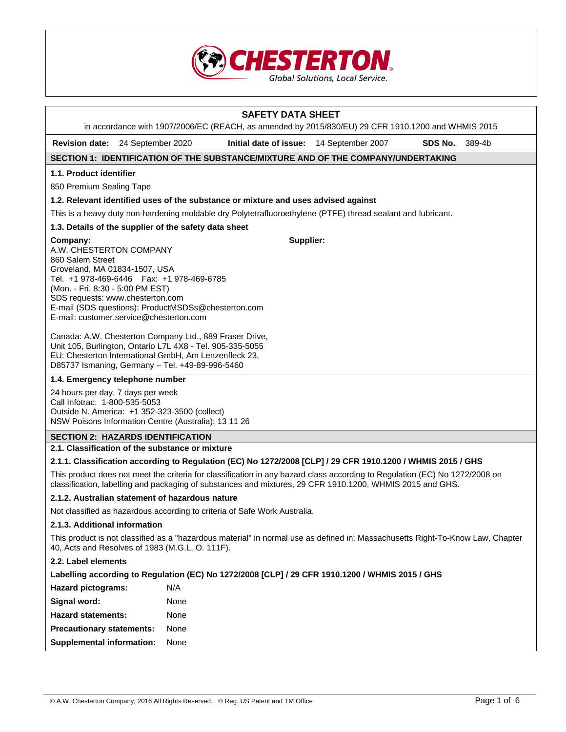

## **SAFETY DATA SHEET**  in accordance with 1907/2006/EC (REACH, as amended by 2015/830/EU) 29 CFR 1910.1200 and WHMIS 2015 **Revision date:** 24 September 2020 **Initial date of issue:** 14 September 2007 **SDS No.** 389-4b **SECTION 1: IDENTIFICATION OF THE SUBSTANCE/MIXTURE AND OF THE COMPANY/UNDERTAKING 1.1. Product identifier**  850 Premium Sealing Tape **1.2. Relevant identified uses of the substance or mixture and uses advised against**  This is a heavy duty non-hardening moldable dry Polytetrafluoroethylene (PTFE) thread sealant and lubricant. **1.3. Details of the supplier of the safety data sheet Company:** A.W. CHESTERTON COMPANY 860 Salem Street Groveland, MA 01834-1507, USA Tel. +1 978-469-6446 Fax: +1 978-469-6785 (Mon. - Fri. 8:30 - 5:00 PM EST) SDS requests: www.chesterton.com E-mail (SDS questions): ProductMSDSs@chesterton.com E-mail: customer.service@chesterton.com Canada: A.W. Chesterton Company Ltd., 889 Fraser Drive, Unit 105, Burlington, Ontario L7L 4X8 - Tel. 905-335-5055 EU: Chesterton International GmbH, Am Lenzenfleck 23, D85737 Ismaning, Germany – Tel. +49-89-996-5460 **Supplier: 1.4. Emergency telephone number**  24 hours per day, 7 days per week Call Infotrac: 1-800-535-5053 Outside N. America: +1 352-323-3500 (collect) NSW Poisons Information Centre (Australia): 13 11 26 **SECTION 2: HAZARDS IDENTIFICATION 2.1. Classification of the substance or mixture 2.1.1. Classification according to Regulation (EC) No 1272/2008 [CLP] / 29 CFR 1910.1200 / WHMIS 2015 / GHS**  This product does not meet the criteria for classification in any hazard class according to Regulation (EC) No 1272/2008 on classification, labelling and packaging of substances and mixtures, 29 CFR 1910.1200, WHMIS 2015 and GHS. **2.1.2. Australian statement of hazardous nature**  Not classified as hazardous according to criteria of Safe Work Australia. **2.1.3. Additional information**  This product is not classified as a "hazardous material" in normal use as defined in: Massachusetts Right-To-Know Law, Chapter 40, Acts and Resolves of 1983 (M.G.L. O. 111F). **2.2. Label elements Labelling according to Regulation (EC) No 1272/2008 [CLP] / 29 CFR 1910.1200 / WHMIS 2015 / GHS Hazard pictograms:** N/A **Signal word:** None **Hazard statements:** None **Precautionary statements:** None **Supplemental information:** None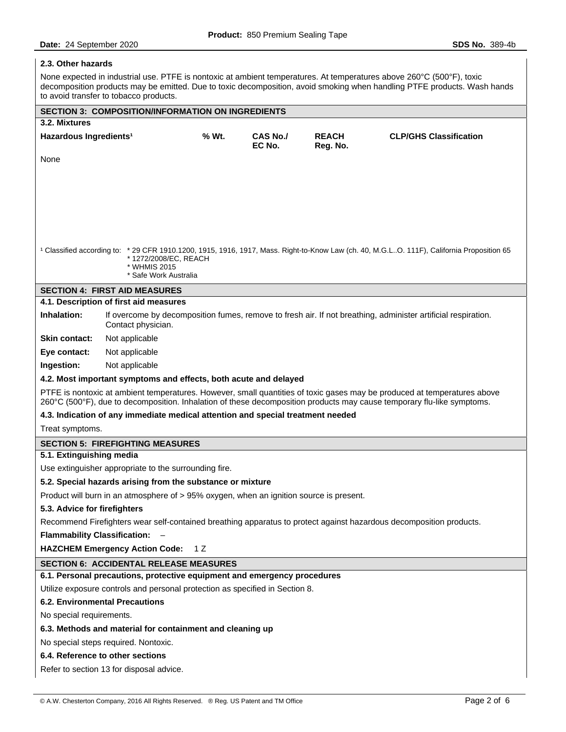## **2.3. Other hazards**

None expected in industrial use. PTFE is nontoxic at ambient temperatures. At temperatures above 260°C (500°F), toxic decomposition products may be emitted. Due to toxic decomposition, avoid smoking when handling PTFE products. Wash hands to avoid transfer to tobacco products.

|                                                                                                                                                                                                                                                    | <b>SECTION 3: COMPOSITION/INFORMATION ON INGREDIENTS</b>                        |       |                           |                          |                                                                                                                                                       |  |
|----------------------------------------------------------------------------------------------------------------------------------------------------------------------------------------------------------------------------------------------------|---------------------------------------------------------------------------------|-------|---------------------------|--------------------------|-------------------------------------------------------------------------------------------------------------------------------------------------------|--|
| 3.2. Mixtures                                                                                                                                                                                                                                      |                                                                                 |       |                           |                          |                                                                                                                                                       |  |
| Hazardous Ingredients <sup>1</sup>                                                                                                                                                                                                                 |                                                                                 | % Wt. | <b>CAS No./</b><br>EC No. | <b>REACH</b><br>Reg. No. | <b>CLP/GHS Classification</b>                                                                                                                         |  |
| None                                                                                                                                                                                                                                               |                                                                                 |       |                           |                          |                                                                                                                                                       |  |
|                                                                                                                                                                                                                                                    |                                                                                 |       |                           |                          |                                                                                                                                                       |  |
|                                                                                                                                                                                                                                                    |                                                                                 |       |                           |                          |                                                                                                                                                       |  |
|                                                                                                                                                                                                                                                    |                                                                                 |       |                           |                          |                                                                                                                                                       |  |
|                                                                                                                                                                                                                                                    |                                                                                 |       |                           |                          |                                                                                                                                                       |  |
|                                                                                                                                                                                                                                                    |                                                                                 |       |                           |                          |                                                                                                                                                       |  |
|                                                                                                                                                                                                                                                    |                                                                                 |       |                           |                          |                                                                                                                                                       |  |
|                                                                                                                                                                                                                                                    | * 1272/2008/EC, REACH                                                           |       |                           |                          | <sup>1</sup> Classified according to: * 29 CFR 1910.1200, 1915, 1916, 1917, Mass. Right-to-Know Law (ch. 40, M.G.LO. 111F), California Proposition 65 |  |
|                                                                                                                                                                                                                                                    | * WHMIS 2015                                                                    |       |                           |                          |                                                                                                                                                       |  |
|                                                                                                                                                                                                                                                    | * Safe Work Australia                                                           |       |                           |                          |                                                                                                                                                       |  |
|                                                                                                                                                                                                                                                    | <b>SECTION 4: FIRST AID MEASURES</b><br>4.1. Description of first aid measures  |       |                           |                          |                                                                                                                                                       |  |
| Inhalation:                                                                                                                                                                                                                                        |                                                                                 |       |                           |                          | If overcome by decomposition fumes, remove to fresh air. If not breathing, administer artificial respiration.                                         |  |
|                                                                                                                                                                                                                                                    | Contact physician.                                                              |       |                           |                          |                                                                                                                                                       |  |
| <b>Skin contact:</b>                                                                                                                                                                                                                               | Not applicable                                                                  |       |                           |                          |                                                                                                                                                       |  |
| Eye contact:                                                                                                                                                                                                                                       | Not applicable                                                                  |       |                           |                          |                                                                                                                                                       |  |
| Ingestion:                                                                                                                                                                                                                                         | Not applicable                                                                  |       |                           |                          |                                                                                                                                                       |  |
|                                                                                                                                                                                                                                                    | 4.2. Most important symptoms and effects, both acute and delayed                |       |                           |                          |                                                                                                                                                       |  |
| PTFE is nontoxic at ambient temperatures. However, small quantities of toxic gases may be produced at temperatures above<br>260°C (500°F), due to decomposition. Inhalation of these decomposition products may cause temporary flu-like symptoms. |                                                                                 |       |                           |                          |                                                                                                                                                       |  |
|                                                                                                                                                                                                                                                    | 4.3. Indication of any immediate medical attention and special treatment needed |       |                           |                          |                                                                                                                                                       |  |
| Treat symptoms.                                                                                                                                                                                                                                    |                                                                                 |       |                           |                          |                                                                                                                                                       |  |
|                                                                                                                                                                                                                                                    | <b>SECTION 5: FIREFIGHTING MEASURES</b>                                         |       |                           |                          |                                                                                                                                                       |  |
| 5.1. Extinguishing media                                                                                                                                                                                                                           |                                                                                 |       |                           |                          |                                                                                                                                                       |  |
|                                                                                                                                                                                                                                                    | Use extinguisher appropriate to the surrounding fire.                           |       |                           |                          |                                                                                                                                                       |  |
|                                                                                                                                                                                                                                                    | 5.2. Special hazards arising from the substance or mixture                      |       |                           |                          |                                                                                                                                                       |  |
| Product will burn in an atmosphere of > 95% oxygen, when an ignition source is present.                                                                                                                                                            |                                                                                 |       |                           |                          |                                                                                                                                                       |  |
| 5.3. Advice for firefighters                                                                                                                                                                                                                       |                                                                                 |       |                           |                          |                                                                                                                                                       |  |
| Recommend Firefighters wear self-contained breathing apparatus to protect against hazardous decomposition products.                                                                                                                                |                                                                                 |       |                           |                          |                                                                                                                                                       |  |
| Flammability Classification: -                                                                                                                                                                                                                     |                                                                                 |       |                           |                          |                                                                                                                                                       |  |
| <b>HAZCHEM Emergency Action Code:</b><br>1 Z                                                                                                                                                                                                       |                                                                                 |       |                           |                          |                                                                                                                                                       |  |
| <b>SECTION 6: ACCIDENTAL RELEASE MEASURES</b>                                                                                                                                                                                                      |                                                                                 |       |                           |                          |                                                                                                                                                       |  |
|                                                                                                                                                                                                                                                    | 6.1. Personal precautions, protective equipment and emergency procedures        |       |                           |                          |                                                                                                                                                       |  |
|                                                                                                                                                                                                                                                    | Utilize exposure controls and personal protection as specified in Section 8.    |       |                           |                          |                                                                                                                                                       |  |
| <b>6.2. Environmental Precautions</b>                                                                                                                                                                                                              |                                                                                 |       |                           |                          |                                                                                                                                                       |  |
| No special requirements.                                                                                                                                                                                                                           |                                                                                 |       |                           |                          |                                                                                                                                                       |  |
| 6.3. Methods and material for containment and cleaning up                                                                                                                                                                                          |                                                                                 |       |                           |                          |                                                                                                                                                       |  |
| No special steps required. Nontoxic.                                                                                                                                                                                                               |                                                                                 |       |                           |                          |                                                                                                                                                       |  |
| 6.4. Reference to other sections                                                                                                                                                                                                                   |                                                                                 |       |                           |                          |                                                                                                                                                       |  |
| Refer to section 13 for disposal advice.                                                                                                                                                                                                           |                                                                                 |       |                           |                          |                                                                                                                                                       |  |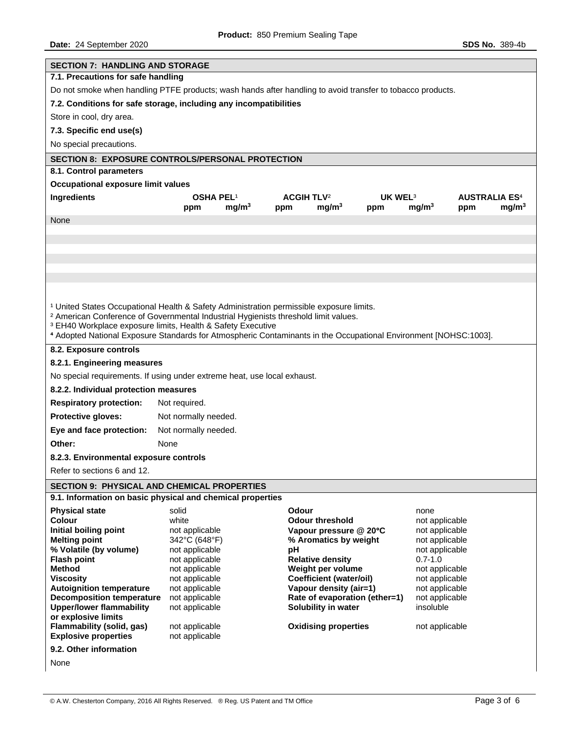| <b>SECTION 7: HANDLING AND STORAGE</b>                                                                           |                                       |                   |                              |                                |                     |                   |     |                                 |
|------------------------------------------------------------------------------------------------------------------|---------------------------------------|-------------------|------------------------------|--------------------------------|---------------------|-------------------|-----|---------------------------------|
| 7.1. Precautions for safe handling                                                                               |                                       |                   |                              |                                |                     |                   |     |                                 |
| Do not smoke when handling PTFE products; wash hands after handling to avoid transfer to tobacco products.       |                                       |                   |                              |                                |                     |                   |     |                                 |
| 7.2. Conditions for safe storage, including any incompatibilities                                                |                                       |                   |                              |                                |                     |                   |     |                                 |
|                                                                                                                  |                                       |                   |                              |                                |                     |                   |     |                                 |
| Store in cool, dry area.                                                                                         |                                       |                   |                              |                                |                     |                   |     |                                 |
| 7.3. Specific end use(s)                                                                                         |                                       |                   |                              |                                |                     |                   |     |                                 |
| No special precautions.                                                                                          |                                       |                   |                              |                                |                     |                   |     |                                 |
| <b>SECTION 8: EXPOSURE CONTROLS/PERSONAL PROTECTION</b>                                                          |                                       |                   |                              |                                |                     |                   |     |                                 |
| 8.1. Control parameters                                                                                          |                                       |                   |                              |                                |                     |                   |     |                                 |
| <b>Occupational exposure limit values</b>                                                                        |                                       |                   |                              |                                |                     |                   |     |                                 |
| <b>Ingredients</b>                                                                                               | <b>OSHA PEL1</b>                      |                   | <b>ACGIH TLV<sup>2</sup></b> |                                | UK WEL <sup>3</sup> |                   |     | <b>AUSTRALIA ES<sup>4</sup></b> |
|                                                                                                                  | ppm                                   | mg/m <sup>3</sup> | ppm                          | mg/m <sup>3</sup>              | ppm                 | mg/m <sup>3</sup> | ppm | mg/m <sup>3</sup>               |
| None                                                                                                             |                                       |                   |                              |                                |                     |                   |     |                                 |
|                                                                                                                  |                                       |                   |                              |                                |                     |                   |     |                                 |
|                                                                                                                  |                                       |                   |                              |                                |                     |                   |     |                                 |
|                                                                                                                  |                                       |                   |                              |                                |                     |                   |     |                                 |
|                                                                                                                  |                                       |                   |                              |                                |                     |                   |     |                                 |
|                                                                                                                  |                                       |                   |                              |                                |                     |                   |     |                                 |
|                                                                                                                  |                                       |                   |                              |                                |                     |                   |     |                                 |
| <sup>1</sup> United States Occupational Health & Safety Administration permissible exposure limits.              |                                       |                   |                              |                                |                     |                   |     |                                 |
| <sup>2</sup> American Conference of Governmental Industrial Hygienists threshold limit values.                   |                                       |                   |                              |                                |                     |                   |     |                                 |
| <sup>3</sup> EH40 Workplace exposure limits, Health & Safety Executive                                           |                                       |                   |                              |                                |                     |                   |     |                                 |
| 4 Adopted National Exposure Standards for Atmospheric Contaminants in the Occupational Environment [NOHSC:1003]. |                                       |                   |                              |                                |                     |                   |     |                                 |
| 8.2. Exposure controls                                                                                           |                                       |                   |                              |                                |                     |                   |     |                                 |
| 8.2.1. Engineering measures                                                                                      |                                       |                   |                              |                                |                     |                   |     |                                 |
| No special requirements. If using under extreme heat, use local exhaust.                                         |                                       |                   |                              |                                |                     |                   |     |                                 |
|                                                                                                                  |                                       |                   |                              |                                |                     |                   |     |                                 |
| <b>Respiratory protection:</b>                                                                                   | 8.2.2. Individual protection measures |                   |                              |                                |                     |                   |     |                                 |
| Protective gloves:                                                                                               | Not required.                         |                   |                              |                                |                     |                   |     |                                 |
|                                                                                                                  | Not normally needed.                  |                   |                              |                                |                     |                   |     |                                 |
| Eye and face protection:                                                                                         | Not normally needed.                  |                   |                              |                                |                     |                   |     |                                 |
| Other:                                                                                                           | None                                  |                   |                              |                                |                     |                   |     |                                 |
| 8.2.3. Environmental exposure controls                                                                           |                                       |                   |                              |                                |                     |                   |     |                                 |
| Refer to sections 6 and 12.                                                                                      |                                       |                   |                              |                                |                     |                   |     |                                 |
| <b>SECTION 9: PHYSICAL AND CHEMICAL PROPERTIES</b>                                                               |                                       |                   |                              |                                |                     |                   |     |                                 |
| 9.1. Information on basic physical and chemical properties                                                       |                                       |                   |                              |                                |                     |                   |     |                                 |
| <b>Physical state</b>                                                                                            | solid                                 |                   | Odour                        |                                |                     | none              |     |                                 |
| Colour                                                                                                           | white                                 |                   |                              | <b>Odour threshold</b>         |                     | not applicable    |     |                                 |
| Initial boiling point                                                                                            | not applicable                        |                   |                              | Vapour pressure @ 20°C         |                     | not applicable    |     |                                 |
| <b>Melting point</b>                                                                                             | 342°C (648°F)                         |                   |                              | % Aromatics by weight          |                     | not applicable    |     |                                 |
| % Volatile (by volume)                                                                                           | not applicable                        |                   | рH                           |                                |                     | not applicable    |     |                                 |
| <b>Flash point</b>                                                                                               | not applicable                        |                   |                              | <b>Relative density</b>        |                     | $0.7 - 1.0$       |     |                                 |
| <b>Method</b>                                                                                                    | not applicable                        |                   |                              | Weight per volume              |                     | not applicable    |     |                                 |
| <b>Viscosity</b>                                                                                                 | not applicable                        |                   |                              | <b>Coefficient (water/oil)</b> |                     | not applicable    |     |                                 |
| <b>Autoignition temperature</b>                                                                                  | not applicable                        |                   |                              | Vapour density (air=1)         |                     | not applicable    |     |                                 |
| <b>Decomposition temperature</b>                                                                                 | not applicable                        |                   |                              | Rate of evaporation (ether=1)  |                     | not applicable    |     |                                 |
| <b>Upper/lower flammability</b><br>or explosive limits                                                           | not applicable                        |                   |                              | Solubility in water            |                     | insoluble         |     |                                 |
| Flammability (solid, gas)                                                                                        | not applicable                        |                   |                              | <b>Oxidising properties</b>    |                     | not applicable    |     |                                 |
| <b>Explosive properties</b>                                                                                      | not applicable                        |                   |                              |                                |                     |                   |     |                                 |
| 9.2. Other information                                                                                           |                                       |                   |                              |                                |                     |                   |     |                                 |
| None                                                                                                             |                                       |                   |                              |                                |                     |                   |     |                                 |
|                                                                                                                  |                                       |                   |                              |                                |                     |                   |     |                                 |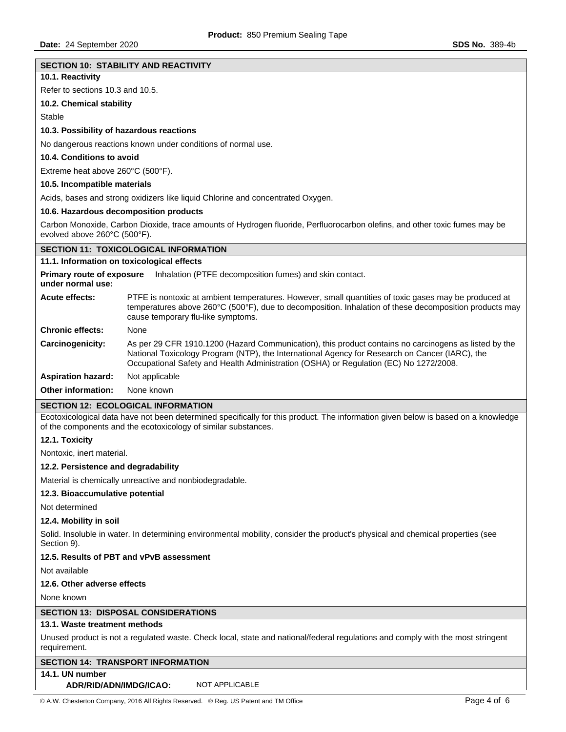| Date: 24 September 2020                                                                                                                       | <b>SDS No. 389-4b</b>                                                                                                                                                                                                                                                                            |  |  |  |
|-----------------------------------------------------------------------------------------------------------------------------------------------|--------------------------------------------------------------------------------------------------------------------------------------------------------------------------------------------------------------------------------------------------------------------------------------------------|--|--|--|
|                                                                                                                                               |                                                                                                                                                                                                                                                                                                  |  |  |  |
| <b>SECTION 10: STABILITY AND REACTIVITY</b><br>10.1. Reactivity                                                                               |                                                                                                                                                                                                                                                                                                  |  |  |  |
| Refer to sections 10.3 and 10.5.                                                                                                              |                                                                                                                                                                                                                                                                                                  |  |  |  |
| 10.2. Chemical stability                                                                                                                      |                                                                                                                                                                                                                                                                                                  |  |  |  |
| Stable                                                                                                                                        |                                                                                                                                                                                                                                                                                                  |  |  |  |
| 10.3. Possibility of hazardous reactions                                                                                                      |                                                                                                                                                                                                                                                                                                  |  |  |  |
|                                                                                                                                               | No dangerous reactions known under conditions of normal use.                                                                                                                                                                                                                                     |  |  |  |
| 10.4. Conditions to avoid                                                                                                                     |                                                                                                                                                                                                                                                                                                  |  |  |  |
|                                                                                                                                               | Extreme heat above 260°C (500°F).                                                                                                                                                                                                                                                                |  |  |  |
| 10.5. Incompatible materials                                                                                                                  |                                                                                                                                                                                                                                                                                                  |  |  |  |
|                                                                                                                                               | Acids, bases and strong oxidizers like liquid Chlorine and concentrated Oxygen.                                                                                                                                                                                                                  |  |  |  |
|                                                                                                                                               | 10.6. Hazardous decomposition products                                                                                                                                                                                                                                                           |  |  |  |
|                                                                                                                                               | Carbon Monoxide, Carbon Dioxide, trace amounts of Hydrogen fluoride, Perfluorocarbon olefins, and other toxic fumes may be                                                                                                                                                                       |  |  |  |
| evolved above 260°C (500°F).                                                                                                                  |                                                                                                                                                                                                                                                                                                  |  |  |  |
|                                                                                                                                               | <b>SECTION 11: TOXICOLOGICAL INFORMATION</b>                                                                                                                                                                                                                                                     |  |  |  |
| 11.1. Information on toxicological effects                                                                                                    |                                                                                                                                                                                                                                                                                                  |  |  |  |
| <b>Primary route of exposure</b><br>under normal use:                                                                                         | Inhalation (PTFE decomposition fumes) and skin contact.                                                                                                                                                                                                                                          |  |  |  |
| <b>Acute effects:</b>                                                                                                                         | PTFE is nontoxic at ambient temperatures. However, small quantities of toxic gases may be produced at<br>temperatures above 260°C (500°F), due to decomposition. Inhalation of these decomposition products may<br>cause temporary flu-like symptoms.                                            |  |  |  |
| <b>Chronic effects:</b>                                                                                                                       | None                                                                                                                                                                                                                                                                                             |  |  |  |
| Carcinogenicity:                                                                                                                              | As per 29 CFR 1910.1200 (Hazard Communication), this product contains no carcinogens as listed by the<br>National Toxicology Program (NTP), the International Agency for Research on Cancer (IARC), the<br>Occupational Safety and Health Administration (OSHA) or Regulation (EC) No 1272/2008. |  |  |  |
| <b>Aspiration hazard:</b>                                                                                                                     | Not applicable                                                                                                                                                                                                                                                                                   |  |  |  |
| Other information:                                                                                                                            | None known                                                                                                                                                                                                                                                                                       |  |  |  |
|                                                                                                                                               | <b>SECTION 12: ECOLOGICAL INFORMATION</b>                                                                                                                                                                                                                                                        |  |  |  |
|                                                                                                                                               | Ecotoxicological data have not been determined specifically for this product. The information given below is based on a knowledge<br>of the components and the ecotoxicology of similar substances.                                                                                              |  |  |  |
| 12.1. Toxicity                                                                                                                                |                                                                                                                                                                                                                                                                                                  |  |  |  |
| Nontoxic, inert material.                                                                                                                     |                                                                                                                                                                                                                                                                                                  |  |  |  |
| 12.2. Persistence and degradability                                                                                                           |                                                                                                                                                                                                                                                                                                  |  |  |  |
| Material is chemically unreactive and nonbiodegradable.                                                                                       |                                                                                                                                                                                                                                                                                                  |  |  |  |
| 12.3. Bioaccumulative potential                                                                                                               |                                                                                                                                                                                                                                                                                                  |  |  |  |
| Not determined                                                                                                                                |                                                                                                                                                                                                                                                                                                  |  |  |  |
| 12.4. Mobility in soil                                                                                                                        |                                                                                                                                                                                                                                                                                                  |  |  |  |
| Solid. Insoluble in water. In determining environmental mobility, consider the product's physical and chemical properties (see<br>Section 9). |                                                                                                                                                                                                                                                                                                  |  |  |  |
| 12.5. Results of PBT and vPvB assessment                                                                                                      |                                                                                                                                                                                                                                                                                                  |  |  |  |
| Not available                                                                                                                                 |                                                                                                                                                                                                                                                                                                  |  |  |  |
| 12.6. Other adverse effects                                                                                                                   |                                                                                                                                                                                                                                                                                                  |  |  |  |
| None known                                                                                                                                    |                                                                                                                                                                                                                                                                                                  |  |  |  |
|                                                                                                                                               | <b>SECTION 13: DISPOSAL CONSIDERATIONS</b>                                                                                                                                                                                                                                                       |  |  |  |
| 13.1. Waste treatment methods                                                                                                                 |                                                                                                                                                                                                                                                                                                  |  |  |  |
| Unused product is not a regulated waste. Check local, state and national/federal regulations and comply with the most stringent               |                                                                                                                                                                                                                                                                                                  |  |  |  |
| requirement.                                                                                                                                  |                                                                                                                                                                                                                                                                                                  |  |  |  |

## **SECTION 14: TRANSPORT INFORMATION**

## **14.1. UN number**

**ADR/RID/ADN/IMDG/ICAO:** NOT APPLICABLE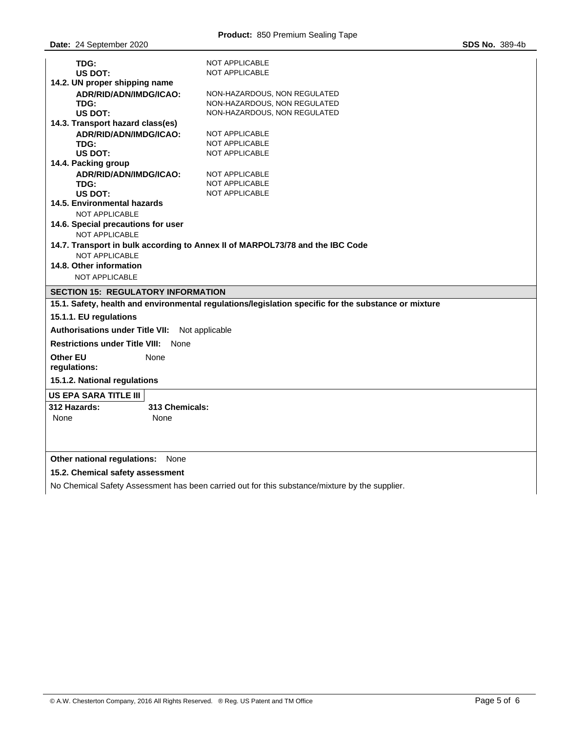| TDG:                                                                                                 | <b>NOT APPLICABLE</b>            |  |  |  |  |  |
|------------------------------------------------------------------------------------------------------|----------------------------------|--|--|--|--|--|
| <b>US DOT:</b><br><b>NOT APPLICABLE</b><br>14.2. UN proper shipping name                             |                                  |  |  |  |  |  |
| ADR/RID/ADN/IMDG/ICAO:                                                                               | NON-HAZARDOUS, NON REGULATED     |  |  |  |  |  |
| TDG:                                                                                                 | NON-HAZARDOUS, NON REGULATED     |  |  |  |  |  |
| US DOT:                                                                                              | NON-HAZARDOUS, NON REGULATED     |  |  |  |  |  |
| 14.3. Transport hazard class(es)                                                                     |                                  |  |  |  |  |  |
| ADR/RID/ADN/IMDG/ICAO:                                                                               | <b>NOT APPLICABLE</b>            |  |  |  |  |  |
| TDG:                                                                                                 | <b>NOT APPLICABLE</b>            |  |  |  |  |  |
| NOT APPLICABLE<br><b>US DOT:</b>                                                                     |                                  |  |  |  |  |  |
| 14.4. Packing group                                                                                  |                                  |  |  |  |  |  |
| ADR/RID/ADN/IMDG/ICAO:                                                                               | <b>NOT APPLICABLE</b>            |  |  |  |  |  |
|                                                                                                      | <b>NOT APPLICABLE</b><br>TDG:    |  |  |  |  |  |
|                                                                                                      | <b>NOT APPLICABLE</b><br>US DOT: |  |  |  |  |  |
| NOT APPLICABLE                                                                                       | 14.5. Environmental hazards      |  |  |  |  |  |
| 14.6. Special precautions for user                                                                   |                                  |  |  |  |  |  |
| <b>NOT APPLICABLE</b>                                                                                |                                  |  |  |  |  |  |
| 14.7. Transport in bulk according to Annex II of MARPOL73/78 and the IBC Code                        |                                  |  |  |  |  |  |
| <b>NOT APPLICABLE</b>                                                                                |                                  |  |  |  |  |  |
| 14.8. Other information                                                                              |                                  |  |  |  |  |  |
| <b>NOT APPLICABLE</b>                                                                                |                                  |  |  |  |  |  |
| <b>SECTION 15: REGULATORY INFORMATION</b>                                                            |                                  |  |  |  |  |  |
| 15.1. Safety, health and environmental regulations/legislation specific for the substance or mixture |                                  |  |  |  |  |  |
| 15.1.1. EU regulations                                                                               |                                  |  |  |  |  |  |
| <b>Authorisations under Title VII:</b><br>Not applicable                                             |                                  |  |  |  |  |  |
| <b>Restrictions under Title VIII: None</b>                                                           |                                  |  |  |  |  |  |
| <b>Other EU</b><br>None                                                                              |                                  |  |  |  |  |  |
| regulations:                                                                                         |                                  |  |  |  |  |  |
| 15.1.2. National regulations                                                                         |                                  |  |  |  |  |  |
| US EPA SARA TITLE III                                                                                |                                  |  |  |  |  |  |
| 312 Hazards:<br>313 Chemicals:                                                                       |                                  |  |  |  |  |  |
| None<br>None                                                                                         |                                  |  |  |  |  |  |
|                                                                                                      |                                  |  |  |  |  |  |
|                                                                                                      |                                  |  |  |  |  |  |
| Other national regulations:<br>None                                                                  |                                  |  |  |  |  |  |
| 15.2. Chemical safety assessment                                                                     |                                  |  |  |  |  |  |
|                                                                                                      |                                  |  |  |  |  |  |